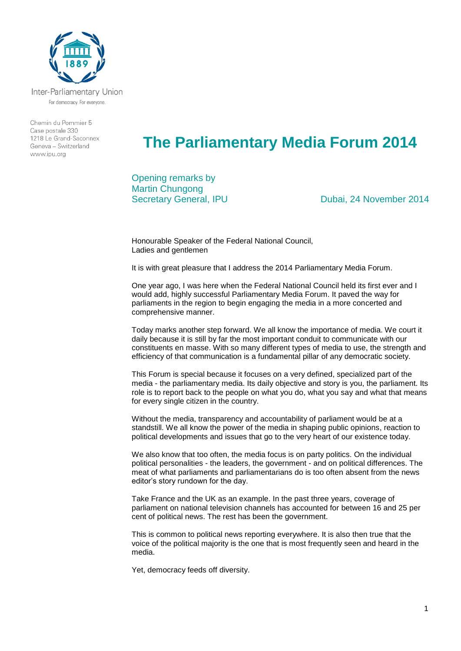

Inter-Parliamentary Union For democracy. For everyone.

Chemin du Pommier 5 Case postale 330  $1218$   $\leq$  Grand-Saconney Geneva - Switzerland www.ipu.org

## **The Parliamentary Media Forum 2014**

Opening remarks by Martin Chungong

Secretary General, IPU Dubai, 24 November 2014

Honourable Speaker of the Federal National Council, Ladies and gentlemen

It is with great pleasure that I address the 2014 Parliamentary Media Forum.

One year ago, I was here when the Federal National Council held its first ever and I would add, highly successful Parliamentary Media Forum. It paved the way for parliaments in the region to begin engaging the media in a more concerted and comprehensive manner.

Today marks another step forward. We all know the importance of media. We court it daily because it is still by far the most important conduit to communicate with our constituents en masse. With so many different types of media to use, the strength and efficiency of that communication is a fundamental pillar of any democratic society.

This Forum is special because it focuses on a very defined, specialized part of the media - the parliamentary media. Its daily objective and story is you, the parliament. Its role is to report back to the people on what you do, what you say and what that means for every single citizen in the country.

Without the media, transparency and accountability of parliament would be at a standstill. We all know the power of the media in shaping public opinions, reaction to political developments and issues that go to the very heart of our existence today.

We also know that too often, the media focus is on party politics. On the individual political personalities - the leaders, the government - and on political differences. The meat of what parliaments and parliamentarians do is too often absent from the news editor's story rundown for the day.

Take France and the UK as an example. In the past three years, coverage of parliament on national television channels has accounted for between 16 and 25 per cent of political news. The rest has been the government.

This is common to political news reporting everywhere. It is also then true that the voice of the political majority is the one that is most frequently seen and heard in the media.

Yet, democracy feeds off diversity.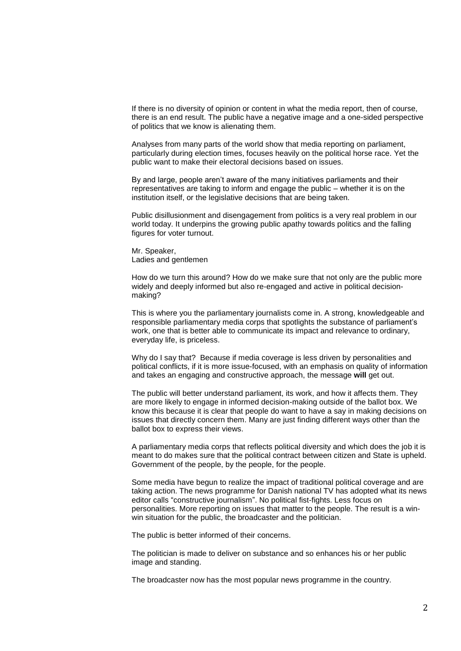If there is no diversity of opinion or content in what the media report, then of course, there is an end result. The public have a negative image and a one-sided perspective of politics that we know is alienating them.

Analyses from many parts of the world show that media reporting on parliament, particularly during election times, focuses heavily on the political horse race. Yet the public want to make their electoral decisions based on issues.

By and large, people aren't aware of the many initiatives parliaments and their representatives are taking to inform and engage the public – whether it is on the institution itself, or the legislative decisions that are being taken.

Public disillusionment and disengagement from politics is a very real problem in our world today. It underpins the growing public apathy towards politics and the falling figures for voter turnout.

Mr. Speaker, Ladies and gentlemen

How do we turn this around? How do we make sure that not only are the public more widely and deeply informed but also re-engaged and active in political decisionmaking?

This is where you the parliamentary journalists come in. A strong, knowledgeable and responsible parliamentary media corps that spotlights the substance of parliament's work, one that is better able to communicate its impact and relevance to ordinary, everyday life, is priceless.

Why do I say that? Because if media coverage is less driven by personalities and political conflicts, if it is more issue-focused, with an emphasis on quality of information and takes an engaging and constructive approach, the message **will** get out.

The public will better understand parliament, its work, and how it affects them. They are more likely to engage in informed decision-making outside of the ballot box. We know this because it is clear that people do want to have a say in making decisions on issues that directly concern them. Many are just finding different ways other than the ballot box to express their views.

A parliamentary media corps that reflects political diversity and which does the job it is meant to do makes sure that the political contract between citizen and State is upheld. Government of the people, by the people, for the people.

Some media have begun to realize the impact of traditional political coverage and are taking action. The news programme for Danish national TV has adopted what its news editor calls "constructive journalism". No political fist-fights. Less focus on personalities. More reporting on issues that matter to the people. The result is a winwin situation for the public, the broadcaster and the politician.

The public is better informed of their concerns.

The politician is made to deliver on substance and so enhances his or her public image and standing.

The broadcaster now has the most popular news programme in the country.